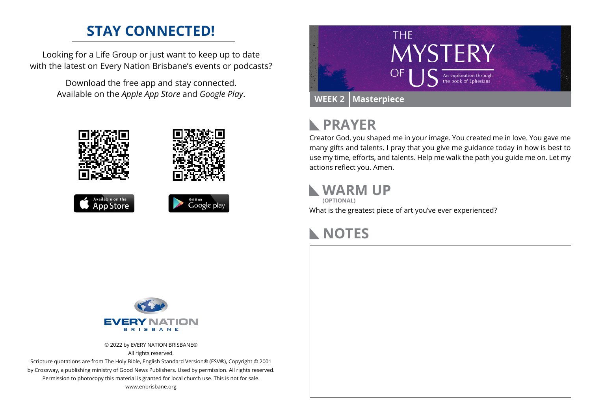# **STAY CONNECTED!**

Looking for a Life Group or just want to keep up to date with the latest on Every Nation Brisbane's events or podcasts?

> Download the free app and stay connected. Available on the *Apple App Store* and *Google Play*.











### **PRAYER**  $\mathbb{R}$

Creator God, you shaped me in your image. You created me in love. You gave me many gifts and talents. I pray that you give me guidance today in how is best to use my time, efforts, and talents. Help me walk the path you guide me on. Let my actions reflect you. Amen.

### **WARM UP**

What is the greatest piece of art you've ever experienced? **(OPTIONAL)**





© 2022 by EVERY NATION BRISBANE® All rights reserved.

Scripture quotations are from The Holy Bible, English Standard Version® (ESV®), Copyright © 2001 by Crossway, a publishing ministry of Good News Publishers. Used by permission. All rights reserved. Permission to photocopy this material is granted for local church use. This is not for sale. www.enbrisbane.org